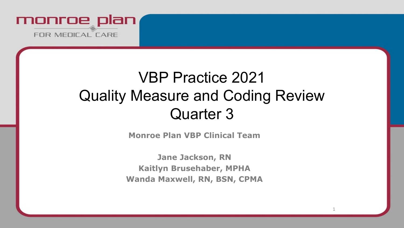

# VBP Practice 2021 Quality Measure and Coding Review Quarter 3

**Monroe Plan VBP Clinical Team**

**Jane Jackson, RN Kaitlyn Brusehaber, MPHA Wanda Maxwell, RN, BSN, CPMA**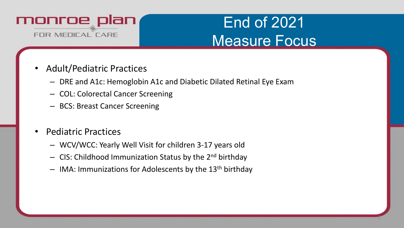

# End of 2021 Measure Focus

- Adult/Pediatric Practices
	- DRE and A1c: Hemoglobin A1c and Diabetic Dilated Retinal Eye Exam
	- COL: Colorectal Cancer Screening
	- BCS: Breast Cancer Screening
- Pediatric Practices
	- WCV/WCC: Yearly Well Visit for children 3-17 years old
	- $-$  CIS: Childhood Immunization Status by the 2<sup>nd</sup> birthday
	- $-$  IMA: Immunizations for Adolescents by the 13<sup>th</sup> birthday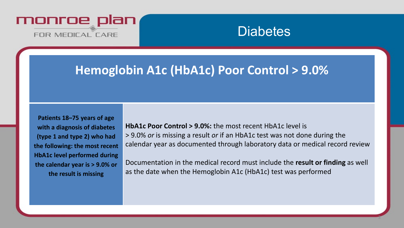

## **Hemoglobin A1c (HbA1c) Poor Control > 9.0%**

**Patients 18–75 years of age with a diagnosis of diabetes (type 1 and type 2) who had the following: the most recent HbA1c level performed during the calendar year is > 9.0% or the result is missing**

**HbA1c Poor Control > 9.0%:** the most recent HbA1c level is > 9.0% *or* is missing a result *or* if an HbA1c test was not done during the calendar year as documented through laboratory data or medical record review

Documentation in the medical record must include the **result or finding** as well as the date when the Hemoglobin A1c (HbA1c) test was performed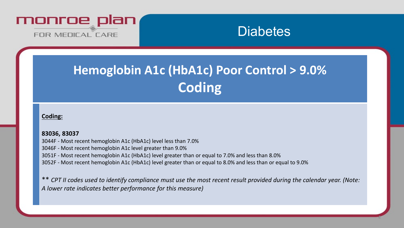

# **Hemoglobin A1c (HbA1c) Poor Control > 9.0% Coding**

#### **Coding:**

#### **83036, 83037**

3044F - Most recent hemoglobin A1c (HbA1c) level less than 7.0% 3046F - Most recent hemoglobin A1c level greater than 9.0% 3051F - Most recent hemoglobin A1c (HbA1c) level greater than or equal to 7.0% and less than 8.0% 3052F - Most recent hemoglobin A1c (HbA1c) level greater than or equal to 8.0% and less than or equal to 9.0%

\*\* *CPT II codes used to identify compliance must use the most recent result provided during the calendar year. (Note: A lower rate indicates better performance for this measure)*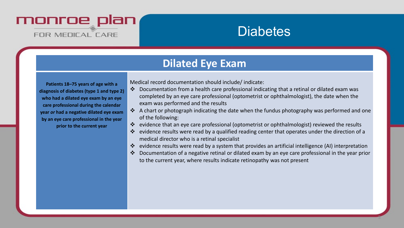

### **Dilated Eye Exam**

**Patients 18–75 years of age with a diagnosis of diabetes (type 1 and type 2) who had a dilated eye exam by an eye care professional during the calendar year** *or* **had a negative dilated eye exam by an eye care professional in the year prior to the current year**

Medical record documentation should include/ indicate:

- Documentation from a health care professional indicating that a retinal or dilated exam was completed by an eye care professional (optometrist or ophthalmologist), the date when the exam was performed and the results
- ❖ A chart or photograph indicating the date when the fundus photography was performed and one of the following:
- evidence that an eye care professional (optometrist or ophthalmologist) reviewed the results
- \* evidence results were read by a qualified reading center that operates under the direction of a medical director who is a retinal specialist
- evidence results were read by a system that provides an artificial intelligence (AI) interpretation
- Documentation of a negative retinal or dilated exam by an eye care professional in the year prior to the current year, where results indicate retinopathy was not present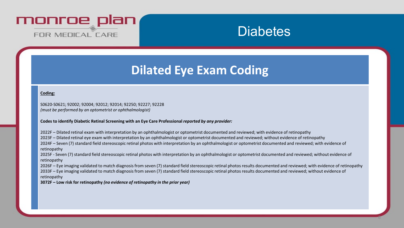

## **Dilated Eye Exam Coding**

#### **Coding:**

S0620-S0621; 92002; 92004; 92012; 92014; 92250; 92227; 92228 *(must be performed by an optometrist or ophthalmologist)*

**Codes to identify Diabetic Retinal Screening with an Eye Care Professional** *reported by any provider:*

2022F – Dilated retinal exam with interpretation by an ophthalmologist or optometrist documented and reviewed; with evidence of retinopathy 2023F – Dilated retinal eye exam with interpretation by an ophthalmologist or optometrist documented and reviewed; without evidence of retinopathy 2024F – Seven (7) standard field stereoscopic retinal photos with interpretation by an ophthalmologist or optometrist documented and reviewed; with evidence of retinopathy

2025F - Seven (7) standard field stereoscopic retinal photos with interpretation by an ophthalmologist or optometrist documented and reviewed; without evidence of retinopathy

2026F – Eye imaging validated to match diagnosis from seven (7) standard field stereoscopic retinal photos results documented and reviewed; with evidence of retinopathy 2033F – Eye imaging validated to match diagnosis from seven (7) standard field stereoscopic retinal photos results documented and reviewed; without evidence of retinopathy

**3072F – Low risk for retinopathy** *(no evidence of retinopathy in the prior year)*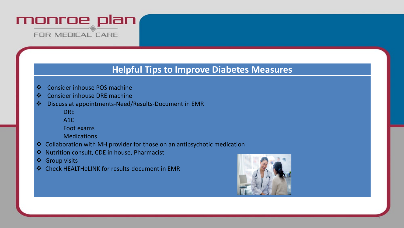

### **Helpful Tips to Improve Diabetes Measures**

- Consider inhouse POS machine
- Consider inhouse DRE machine
- Discuss at appointments-Need/Results-Document in EMR
	- DRE
	- A1C
	- Foot exams
	- **Medications**
- Collaboration with MH provider for those on an antipsychotic medication
- ❖ Nutrition consult, CDE in house, Pharmacist
- Group visits
- Check HEALTHeLINK for results-document in EMR

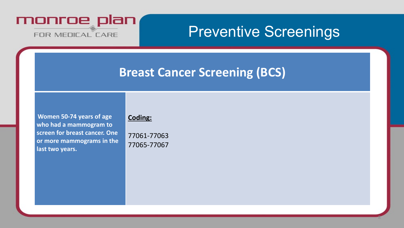

# Preventive Screenings

8

## **Breast Cancer Screening (BCS)**

**Women 50-74 years of age who had a mammogram to screen for breast cancer. One or more mammograms in the last two years.**

#### **Coding:**

77061-77063 77065-77067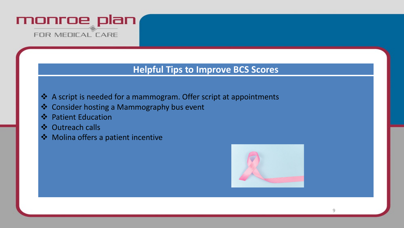

### **Helpful Tips to Improve BCS Scores**

- A script is needed for a mammogram. Offer script at appointments
- **❖** Consider hosting a Mammography bus event
- ❖ Patient Education
- Outreach calls
- $\dots$  Molina offers a patient incentive

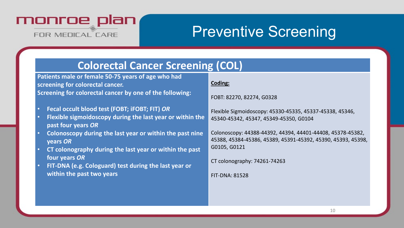

# Preventive Screening

### **Colorectal Cancer Screening (COL)**

**Patients male or female 50-75 years of age who had screening for colorectal cancer. Screening for colorectal cancer by one of the following:** 

- **Fecal occult blood test (FOBT; iFOBT; FIT)** *OR*
- **Flexible sigmoidoscopy during the last year or within the past four years** *OR*
- **Colonoscopy during the last year or within the past nine years** *OR*
- **CT colonography during the last year or within the past four years** *OR*
- **FIT-DNA (e.g. Cologuard) test during the last year or within the past two years**

#### **Coding:**

FOBT: 82270, 82274, G0328

Flexible Sigmoidoscopy: 45330-45335, 45337-45338, 45346, 45340-45342, 45347, 45349-45350, G0104

Colonoscopy: 44388-44392, 44394, 44401-44408, 45378-45382, 45388, 45384-45386, 45389, 45391-45392, 45390, 45393, 45398, G0105, G0121

CT colonography: 74261-74263

FIT-DNA: 81528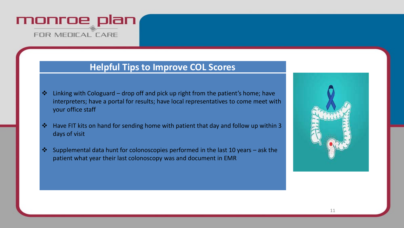

### **Helpful Tips to Improve COL Scores**

- $\cdot$  Linking with Cologuard drop off and pick up right from the patient's home; have interpreters; have a portal for results; have local representatives to come meet with your office staff
- $\cdot$  Have FIT kits on hand for sending home with patient that day and follow up within 3 days of visit
- Supplemental data hunt for colonoscopies performed in the last 10 years ask the patient what year their last colonoscopy was and document in EMR

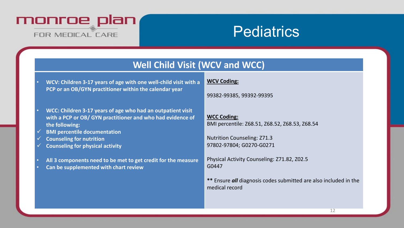

# **Pediatrics**

### **Well Child Visit (WCV and WCC)**

- **WCV: Children 3-17 years of age with one well-child visit with a PCP or an OB/GYN practitioner within the calendar year**
- **WCC: Children 3-17 years of age who had an outpatient visit with a PCP or OB/ GYN practitioner and who had evidence of the following:**
- **BMI percentile documentation**
- **Counseling for nutrition**
- **Counseling for physical activity**
- **All 3 components need to be met to get credit for the measure**
- **Can be supplemented with chart review**

#### **WCV Coding:**

99382-99385, 99392-99395

**WCC Coding:** BMI percentile: Z68.51, Z68.52, Z68.53, Z68.54

Nutrition Counseling: Z71.3 97802-97804; G0270-G0271

Physical Activity Counseling: Z71.82, Z02.5 G0447

**\*\*** Ensure *all* diagnosis codes submitted are also included in the medical record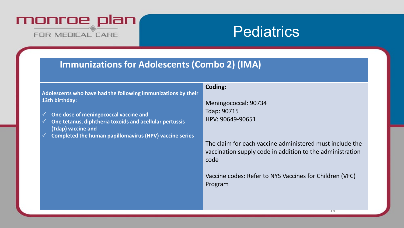

# **Pediatrics**

### **Immunizations for Adolescents (Combo 2) (IMA)**

|                                                                                                  | Coding:                                                                                                                       |
|--------------------------------------------------------------------------------------------------|-------------------------------------------------------------------------------------------------------------------------------|
| Adolescents who have had the following immunizations by their                                    |                                                                                                                               |
| 13th birthday:                                                                                   | Meningococcal: 90734                                                                                                          |
|                                                                                                  | <b>Tdap: 90715</b>                                                                                                            |
| One dose of meningococcal vaccine and<br>One tetanus, diphtheria toxoids and acellular pertussis | HPV: 90649-90651                                                                                                              |
| (Tdap) vaccine and                                                                               |                                                                                                                               |
| Completed the human papillomavirus (HPV) vaccine series                                          |                                                                                                                               |
|                                                                                                  | The claim for each vaccine administered must include the<br>vaccination supply code in addition to the administration<br>code |
|                                                                                                  | Vaccine codes: Refer to NYS Vaccines for Children (VFC)<br>Program                                                            |
|                                                                                                  |                                                                                                                               |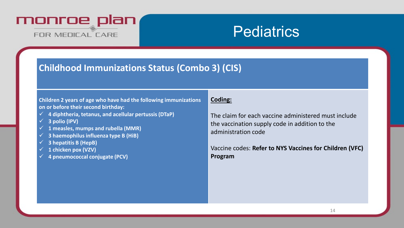

# **Pediatrics**

### **Childhood Immunizations Status (Combo 3) (CIS)**

#### **Children 2 years of age who have had the following immunizations on or before their second birthday:**

- **4 diphtheria, tetanus, and acellular pertussis (DTaP)**
- **3 polio (IPV)**
- **1 measles, mumps and rubella (MMR)**
- **3 haemophilusinfluenza type B (HiB)**
- **3 hepatitis B (HepB)**
- **1 chicken pox (VZV)**
- **4 pneumococcal conjugate (PCV)**

#### **Coding:**

The claim for each vaccine administered must include the vaccination supply code in addition to the administration code

Vaccine codes: **Refer to NYS Vaccines for Children (VFC) Program**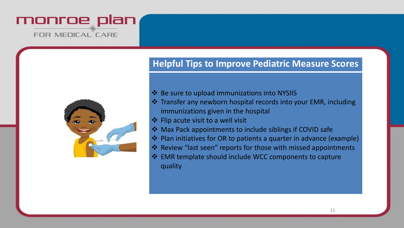



### **Helpful Tips to Improve Pediatric Measure Scores**

- ❖ Be sure to upload immunizations into NYSIIS
- Transfer any newborn hospital records into your EMR, including immunizations given in the hospital
- $\triangleleft$  Flip acute visit to a well visit
- $\triangle$  Max Pack appointments to include siblings if COVID safe
- $\triangle$  Plan initiatives for OR to patients a quarter in advance (example)
- ❖ Review "last seen" reports for those with missed appointments
- $\triangle$  EMR template should include WCC components to capture quality